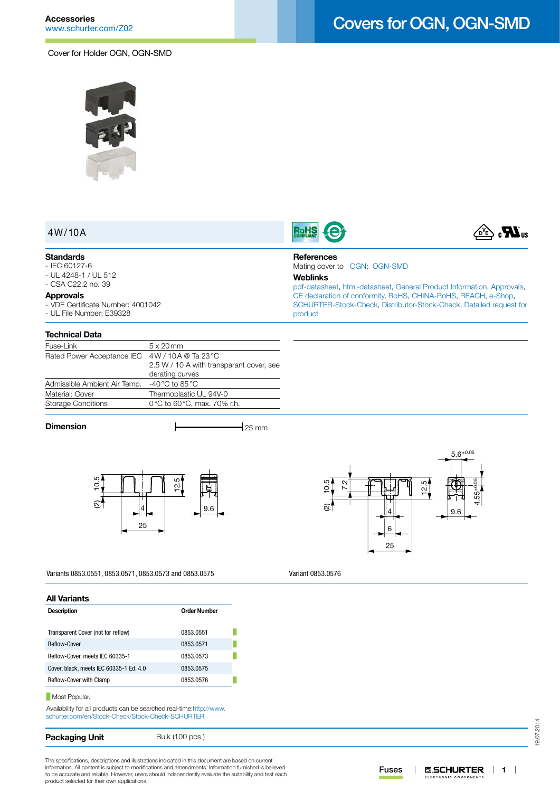

# Covers for OGN, OGN-SMD

**RoHS** 

**References**

**Weblinks**

[product](http://www.schurter.com/en/Contacts/Contact-Form?type=Covers_for_OGN__OGN-SMD)

Mating cover to [OGN;](http://www.schurter.ch/pdf/english/typ_OGN.pdf) [OGN-SMD](http://www.schurter.ch/pdf/english/typ_OGN-SMD.pdf)



### 4W/10A

### **Standards**

- IEC 60127-6 - UL 4248-1 / UL 512
- CSA C22.2 no. 39

#### **Approvals**

- VDE Certificate Number: 4001042
- UL File Number: E39328

#### **Technical Data**

| Fuse-Link                    | $5 \times 20$ mm                         |
|------------------------------|------------------------------------------|
| Rated Power Acceptance IEC   | 4W/10A @ Ta 23 °C                        |
|                              | 2.5 W / 10 A with transparant cover, see |
|                              | derating curves                          |
| Admissible Ambient Air Temp. | -40 $^{\circ}$ C to 85 $^{\circ}$ C      |
| Material: Cover              | Thermoplastic UL 94V-0                   |
| <b>Storage Conditions</b>    | 0°C to 60°C, max. 70% r.h.               |
|                              |                                          |

**Dimension**  $\qquad \qquad \qquad$  25 mm



Variants 0853.0551, 0853.0571, 0853.0573 and 0853.0575

**All Variants**

| <b>Order Number</b><br><b>Description</b><br>Transparent Cover (not for reflow)<br>0853.0551<br>Reflow-Cover<br>0853.0571<br>Reflow-Cover, meets IEC 60335-1<br>0853.0573<br>Cover, black, meets IEC 60335-1 Ed. 4.0<br>0853.0575<br>Reflow-Cover with Clamp<br>0853.0576 |  |  |  |
|---------------------------------------------------------------------------------------------------------------------------------------------------------------------------------------------------------------------------------------------------------------------------|--|--|--|
|                                                                                                                                                                                                                                                                           |  |  |  |
|                                                                                                                                                                                                                                                                           |  |  |  |
|                                                                                                                                                                                                                                                                           |  |  |  |
|                                                                                                                                                                                                                                                                           |  |  |  |
|                                                                                                                                                                                                                                                                           |  |  |  |
|                                                                                                                                                                                                                                                                           |  |  |  |

**Most Popular.** 

Availability for all products can be searched real-time[:http://www.](http://www.schurter.com/en/Stock-Check/Stock-Check-SCHURTER) [schurter.com/en/Stock-Check/Stock-Check-SCHURTER](http://www.schurter.com/en/Stock-Check/Stock-Check-SCHURTER)

| <b>Packaging Unit</b> | Bulk (100 pcs.) |
|-----------------------|-----------------|
|-----------------------|-----------------|

The specifications, descriptions and illustrations indicated in this document are based on current information. All content is subject to modifications and amendments. Information furnished is believed to be accurate and reliable. However, users should independently evaluate the suitability and test each product selected for their own applications.



[pdf-datasheet](http://www.schurter.ch/pdf/english/typ_Covers_for_OGN__OGN-SMD.pdf), [html-datasheet](http://www.schurter.ch/en/datasheet/Covers%20for%20OGN,%20OGN-SMD), [General Product Information,](http://www.schurter.ch/products/fuses_general_info.asp) [Approvals](http://www.schurter.ch/en/Documents-References/Approvals/(id)/Covers), [CE declaration of conformity,](http://www.schurter.com/en/Documents-References/Approvals/(id)/Covers+AND+FIELD+CertificationInstitute=SAG) [RoHS](http://www.schurter.ch/company/rohs.asp), [CHINA-RoHS](http://www.schurter.ch/company/china_rohs.asp), [REACH,](http://www.schurter.ch/company/reach.asp) [e-Shop,](http://www.schurter.ch/en/datasheet/Covers%20for%20OGN,%20OGN-SMD#Anker_Variants) [SCHURTER-Stock-Check,](http://www.schurter.ch/en/Stock-Check/Stock-Check-SCHURTER?MAKTX=Covers&COM_QTY=1&AUTOSEARCH=true) [Distributor-Stock-Check](http://www.schurter.com/en/Stock-Check/Stock-Check-Distributor?partnumber1=Covers), [Detailed request for](http://www.schurter.com/en/Contacts/Contact-Form?type=Covers_for_OGN__OGN-SMD) 

Variant 0853.0576

19.07.2014 19.07.2014